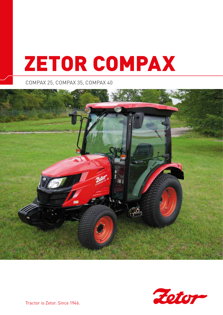# ZETOR COMPAX

COMPAX 25, COMPAX 35, COMPAX 40





Tractor is Zetor. Since 1946.